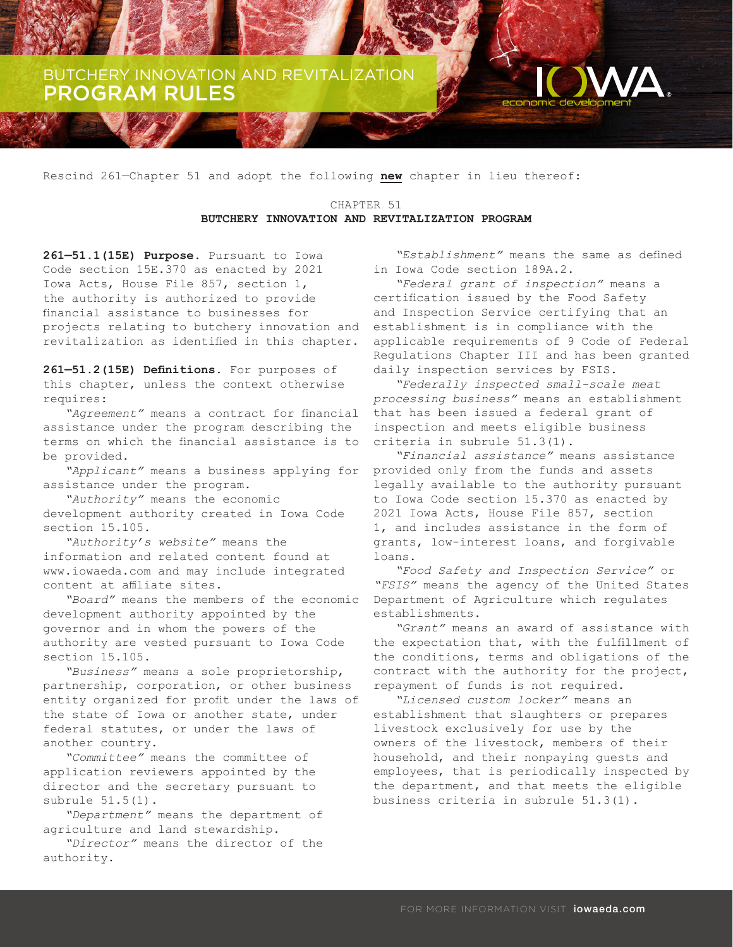BUTCHERY INNOVATION AND REVITALIZATION PROGRAM RULES

Rescind 261—Chapter 51 and adopt the following **new** chapter in lieu thereof:

CHAPTER 51 **BUTCHERY INNOVATION AND REVITALIZATION PROGRAM**

**261—51.1(15E) Purpose.** Pursuant to Iowa Code section 15E.370 as enacted by 2021 Iowa Acts, House File 857, section 1, the authority is authorized to provide financial assistance to businesses for projects relating to butchery innovation and revitalization as identified in this chapter.

**261—51.2(15E) Definitions.** For purposes of this chapter, unless the context otherwise requires:

*"Agreement"* means a contract for financial assistance under the program describing the terms on which the financial assistance is to be provided.

*"Applicant"* means a business applying for assistance under the program.

*"Authority"* means the economic development authority created in Iowa Code section 15.105.

*"Authority's website"* means the information and related content found at www.iowaeda.com and may include integrated content at affiliate sites.

*"Board"* means the members of the economic development authority appointed by the governor and in whom the powers of the authority are vested pursuant to Iowa Code section 15.105.

*"Business"* means a sole proprietorship, partnership, corporation, or other business entity organized for profit under the laws of the state of Iowa or another state, under federal statutes, or under the laws of another country.

*"Committee"* means the committee of application reviewers appointed by the director and the secretary pursuant to subrule 51.5(1).

*"Department"* means the department of agriculture and land stewardship.

*"Director"* means the director of the authority.

*"Establishment"* means the same as defined in Iowa Code section 189A.2.

*"Federal grant of inspection"* means a certification issued by the Food Safety and Inspection Service certifying that an establishment is in compliance with the applicable requirements of 9 Code of Federal Regulations Chapter III and has been granted daily inspection services by FSIS.

*"Federally inspected small-scale meat processing business"* means an establishment that has been issued a federal grant of inspection and meets eligible business criteria in subrule 51.3(1).

*"Financial assistance"* means assistance provided only from the funds and assets legally available to the authority pursuant to Iowa Code section 15.370 as enacted by 2021 Iowa Acts, House File 857, section 1, and includes assistance in the form of grants, low-interest loans, and forgivable loans.

*"Food Safety and Inspection Service"* or *"FSIS"* means the agency of the United States Department of Agriculture which regulates establishments.

*"Grant"* means an award of assistance with the expectation that, with the fulfillment of the conditions, terms and obligations of the contract with the authority for the project, repayment of funds is not required.

*"Licensed custom locker"* means an establishment that slaughters or prepares livestock exclusively for use by the owners of the livestock, members of their household, and their nonpaying guests and employees, that is periodically inspected by the department, and that meets the eligible business criteria in subrule 51.3(1).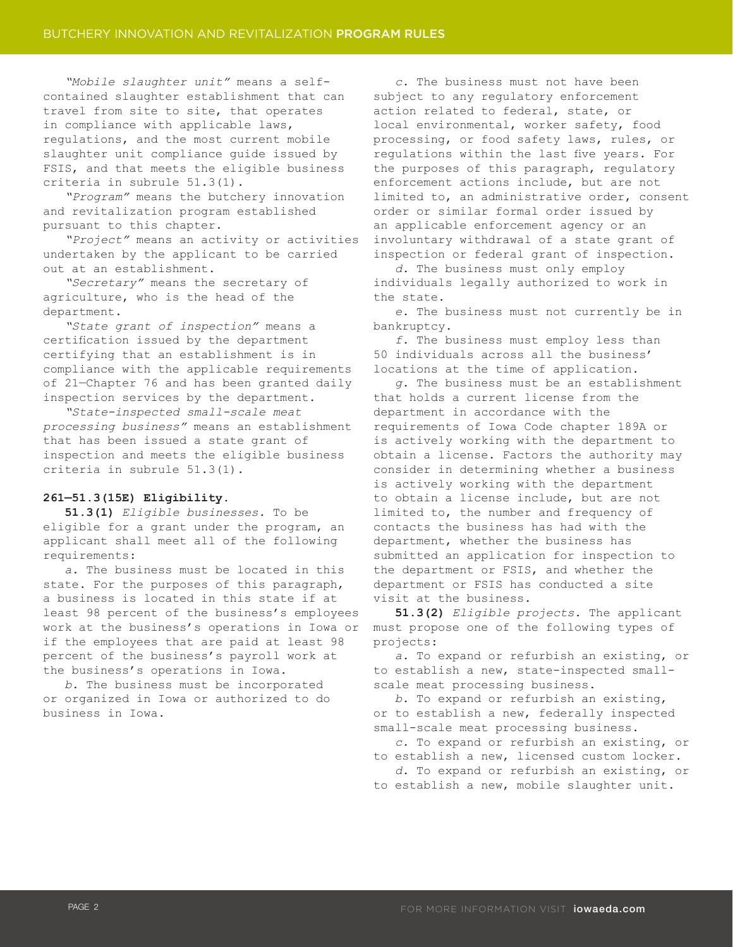*"Mobile slaughter unit"* means a selfcontained slaughter establishment that can travel from site to site, that operates in compliance with applicable laws, regulations, and the most current mobile slaughter unit compliance guide issued by FSIS, and that meets the eligible business criteria in subrule 51.3(1).

*"Program"* means the butchery innovation and revitalization program established pursuant to this chapter.

*"Project"* means an activity or activities undertaken by the applicant to be carried out at an establishment.

*"Secretary"* means the secretary of agriculture, who is the head of the department.

*"State grant of inspection"* means a certification issued by the department certifying that an establishment is in compliance with the applicable requirements of 21—Chapter 76 and has been granted daily inspection services by the department.

*"State-inspected small-scale meat processing business"* means an establishment that has been issued a state grant of inspection and meets the eligible business criteria in subrule 51.3(1).

### **261—51.3(15E) Eligibility.**

**51.3(1)** *Eligible businesses.* To be eligible for a grant under the program, an applicant shall meet all of the following requirements:

*a.* The business must be located in this state. For the purposes of this paragraph, a business is located in this state if at least 98 percent of the business's employees work at the business's operations in Iowa or if the employees that are paid at least 98 percent of the business's payroll work at the business's operations in Iowa.

*b.* The business must be incorporated or organized in Iowa or authorized to do business in Iowa.

*c.* The business must not have been subject to any regulatory enforcement action related to federal, state, or local environmental, worker safety, food processing, or food safety laws, rules, or regulations within the last five years. For the purposes of this paragraph, regulatory enforcement actions include, but are not limited to, an administrative order, consent order or similar formal order issued by an applicable enforcement agency or an involuntary withdrawal of a state grant of inspection or federal grant of inspection.

*d.* The business must only employ individuals legally authorized to work in the state.

*e.* The business must not currently be in bankruptcy.

*f.* The business must employ less than 50 individuals across all the business' locations at the time of application.

*g.* The business must be an establishment that holds a current license from the department in accordance with the requirements of Iowa Code chapter 189A or is actively working with the department to obtain a license. Factors the authority may consider in determining whether a business is actively working with the department to obtain a license include, but are not limited to, the number and frequency of contacts the business has had with the department, whether the business has submitted an application for inspection to the department or FSIS, and whether the department or FSIS has conducted a site visit at the business.

**51.3(2)** *Eligible projects*. The applicant must propose one of the following types of projects:

*a.* To expand or refurbish an existing, or to establish a new, state-inspected smallscale meat processing business.

*b.* To expand or refurbish an existing, or to establish a new, federally inspected small-scale meat processing business.

*c.* To expand or refurbish an existing, or to establish a new, licensed custom locker.

*d.* To expand or refurbish an existing, or to establish a new, mobile slaughter unit.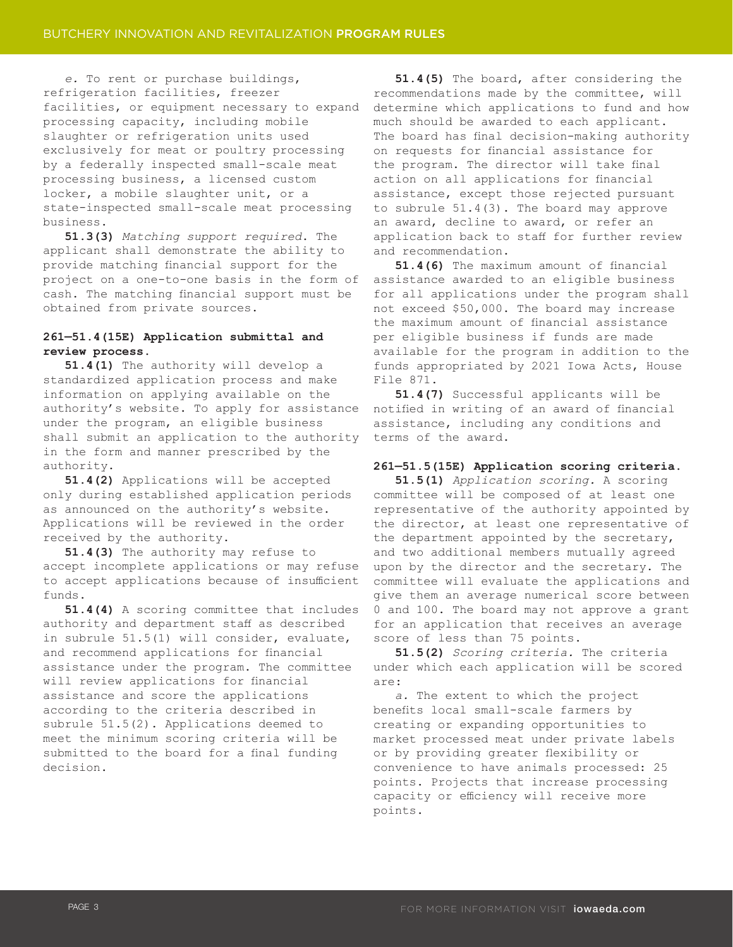*e.* To rent or purchase buildings, refrigeration facilities, freezer facilities, or equipment necessary to expand processing capacity, including mobile slaughter or refrigeration units used exclusively for meat or poultry processing by a federally inspected small-scale meat processing business, a licensed custom locker, a mobile slaughter unit, or a state-inspected small-scale meat processing business.

**51.3(3)** *Matching support required*. The applicant shall demonstrate the ability to provide matching financial support for the project on a one-to-one basis in the form of cash. The matching financial support must be obtained from private sources.

## **261—51.4(15E) Application submittal and review process.**

**51.4(1)** The authority will develop a standardized application process and make information on applying available on the authority's website. To apply for assistance under the program, an eligible business shall submit an application to the authority in the form and manner prescribed by the authority.

**51.4(2)** Applications will be accepted only during established application periods as announced on the authority's website. Applications will be reviewed in the order received by the authority.

**51.4(3)** The authority may refuse to accept incomplete applications or may refuse to accept applications because of insufficient funds.

**51.4(4)** A scoring committee that includes authority and department staff as described in subrule 51.5(1) will consider, evaluate, and recommend applications for financial assistance under the program. The committee will review applications for financial assistance and score the applications according to the criteria described in subrule 51.5(2). Applications deemed to meet the minimum scoring criteria will be submitted to the board for a final funding decision.

**51.4(5)** The board, after considering the recommendations made by the committee, will determine which applications to fund and how much should be awarded to each applicant. The board has final decision-making authority on requests for financial assistance for the program. The director will take final action on all applications for financial assistance, except those rejected pursuant to subrule 51.4(3). The board may approve an award, decline to award, or refer an application back to staff for further review and recommendation.

**51.4(6)** The maximum amount of financial assistance awarded to an eligible business for all applications under the program shall not exceed \$50,000. The board may increase the maximum amount of financial assistance per eligible business if funds are made available for the program in addition to the funds appropriated by 2021 Iowa Acts, House File 871.

**51.4(7)** Successful applicants will be notified in writing of an award of financial assistance, including any conditions and terms of the award.

### **261—51.5(15E) Application scoring criteria.**

**51.5(1)** *Application scoring.* A scoring committee will be composed of at least one representative of the authority appointed by the director, at least one representative of the department appointed by the secretary, and two additional members mutually agreed upon by the director and the secretary. The committee will evaluate the applications and give them an average numerical score between 0 and 100. The board may not approve a grant for an application that receives an average score of less than 75 points.

**51.5(2)** *Scoring criteria.* The criteria under which each application will be scored are:

*a.* The extent to which the project benefits local small-scale farmers by creating or expanding opportunities to market processed meat under private labels or by providing greater flexibility or convenience to have animals processed: 25 points. Projects that increase processing capacity or efficiency will receive more points.